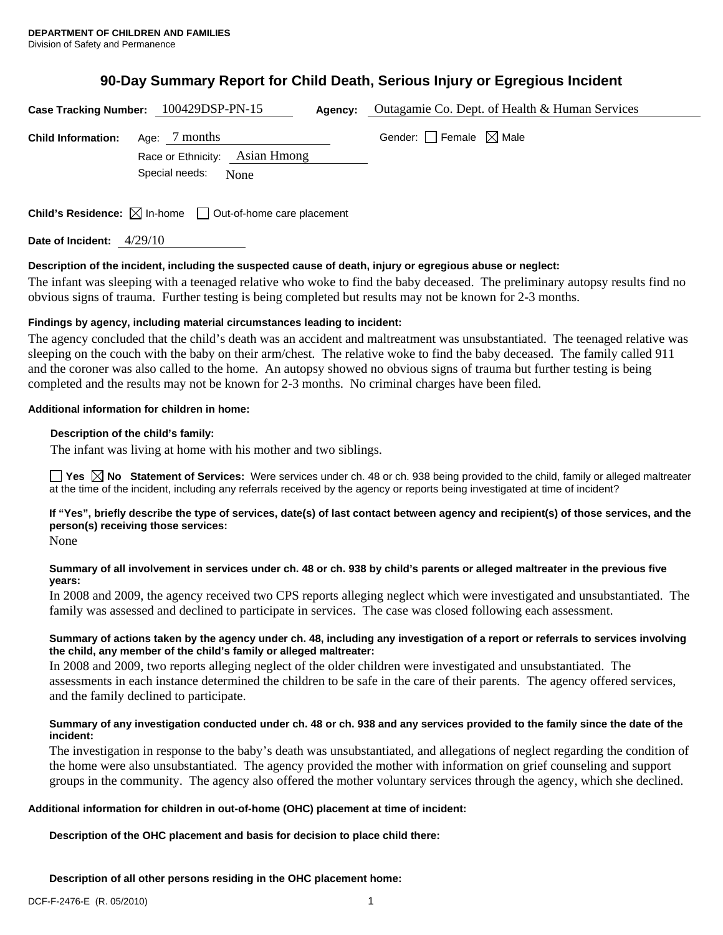# **90-Day Summary Report for Child Death, Serious Injury or Egregious Incident**

|                           | Case Tracking Number: 100429DSP-PN-15                                           | Agency: | Outagamie Co. Dept. of Health & Human Services |  |
|---------------------------|---------------------------------------------------------------------------------|---------|------------------------------------------------|--|
| <b>Child Information:</b> | Age: 7 months                                                                   |         | Gender: $\Box$ Female $\boxtimes$ Male         |  |
|                           | Race or Ethnicity: Asian Hmong                                                  |         |                                                |  |
|                           | Special needs:<br>None                                                          |         |                                                |  |
|                           |                                                                                 |         |                                                |  |
|                           | <b>Child's Residence:</b> $\boxtimes$ In-home $\Box$ Out-of-home care placement |         |                                                |  |

**Date of Incident:** 4/29/10

## **Description of the incident, including the suspected cause of death, injury or egregious abuse or neglect:**

The infant was sleeping with a teenaged relative who woke to find the baby deceased. The preliminary autopsy results find no obvious signs of trauma. Further testing is being completed but results may not be known for 2-3 months.

#### **Findings by agency, including material circumstances leading to incident:**

The agency concluded that the child's death was an accident and maltreatment was unsubstantiated. The teenaged relative was sleeping on the couch with the baby on their arm/chest. The relative woke to find the baby deceased. The family called 911 and the coroner was also called to the home. An autopsy showed no obvious signs of trauma but further testing is being completed and the results may not be known for 2-3 months. No criminal charges have been filed.

#### **Additional information for children in home:**

## **Description of the child's family:**

The infant was living at home with his mother and two siblings.

**Yes**  $\boxtimes$  **No** Statement of Services: Were services under ch. 48 or ch. 938 being provided to the child, family or alleged maltreater at the time of the incident, including any referrals received by the agency or reports being investigated at time of incident?

# **If "Yes", briefly describe the type of services, date(s) of last contact between agency and recipient(s) of those services, and the person(s) receiving those services:**

None

## **Summary of all involvement in services under ch. 48 or ch. 938 by child's parents or alleged maltreater in the previous five years:**

In 2008 and 2009, the agency received two CPS reports alleging neglect which were investigated and unsubstantiated. The family was assessed and declined to participate in services. The case was closed following each assessment.

#### **Summary of actions taken by the agency under ch. 48, including any investigation of a report or referrals to services involving the child, any member of the child's family or alleged maltreater:**

In 2008 and 2009, two reports alleging neglect of the older children were investigated and unsubstantiated. The assessments in each instance determined the children to be safe in the care of their parents. The agency offered services, and the family declined to participate.

## **Summary of any investigation conducted under ch. 48 or ch. 938 and any services provided to the family since the date of the incident:**

The investigation in response to the baby's death was unsubstantiated, and allegations of neglect regarding the condition of the home were also unsubstantiated. The agency provided the mother with information on grief counseling and support groups in the community. The agency also offered the mother voluntary services through the agency, which she declined.

# **Additional information for children in out-of-home (OHC) placement at time of incident:**

**Description of the OHC placement and basis for decision to place child there:** 

**Description of all other persons residing in the OHC placement home:**